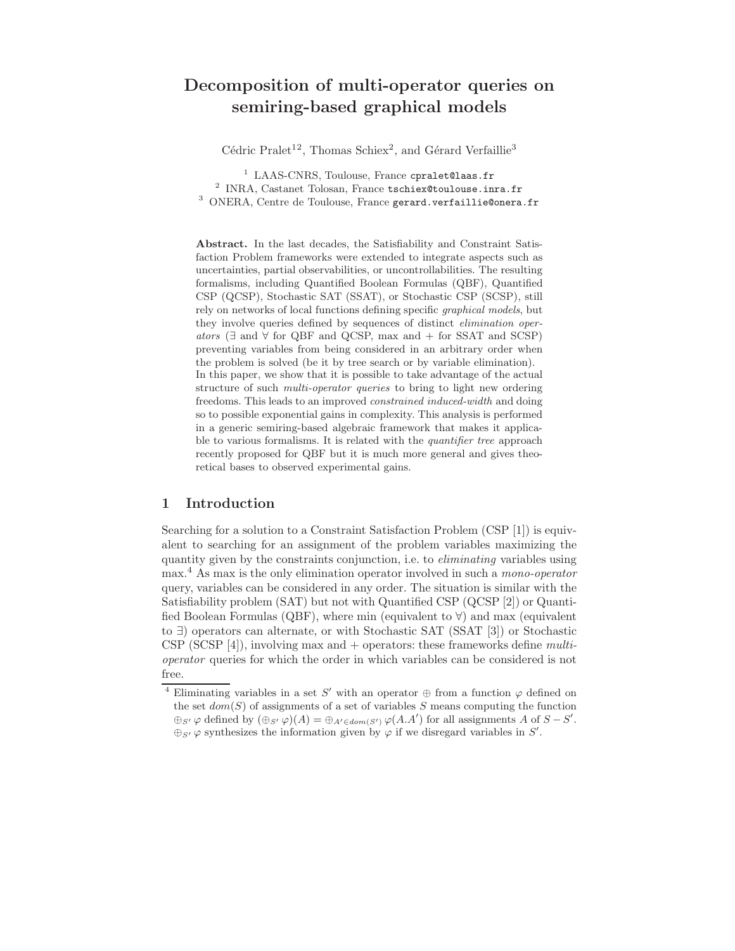# Decomposition of multi-operator queries on semiring-based graphical models

Cédric Pralet<sup>12</sup>, Thomas Schiex<sup>2</sup>, and Gérard Verfaillie<sup>3</sup>

<sup>1</sup> LAAS-CNRS, Toulouse, France cpralet@laas.fr <sup>2</sup> INRA, Castanet Tolosan, France tschiex@toulouse.inra.fr <sup>3</sup> ONERA, Centre de Toulouse, France gerard.verfaillie@onera.fr

Abstract. In the last decades, the Satisfiability and Constraint Satisfaction Problem frameworks were extended to integrate aspects such as uncertainties, partial observabilities, or uncontrollabilities. The resulting formalisms, including Quantified Boolean Formulas (QBF), Quantified CSP (QCSP), Stochastic SAT (SSAT), or Stochastic CSP (SCSP), still rely on networks of local functions defining specific graphical models, but they involve queries defined by sequences of distinct elimination operators ( $\exists$  and  $\forall$  for QBF and QCSP, max and  $+$  for SSAT and SCSP) preventing variables from being considered in an arbitrary order when the problem is solved (be it by tree search or by variable elimination). In this paper, we show that it is possible to take advantage of the actual structure of such multi-operator queries to bring to light new ordering freedoms. This leads to an improved constrained induced-width and doing so to possible exponential gains in complexity. This analysis is performed in a generic semiring-based algebraic framework that makes it applicable to various formalisms. It is related with the *quantifier tree* approach recently proposed for QBF but it is much more general and gives theoretical bases to observed experimental gains.

# 1 Introduction

Searching for a solution to a Constraint Satisfaction Problem (CSP [1]) is equivalent to searching for an assignment of the problem variables maximizing the quantity given by the constraints conjunction, i.e. to eliminating variables using max.<sup>4</sup> As max is the only elimination operator involved in such a mono-operator query, variables can be considered in any order. The situation is similar with the Satisfiability problem (SAT) but not with Quantified CSP (QCSP [2]) or Quantified Boolean Formulas (QBF), where min (equivalent to  $\forall$ ) and max (equivalent to ∃) operators can alternate, or with Stochastic SAT (SSAT [3]) or Stochastic CSP (SCSP [4]), involving max and  $+$  operators: these frameworks define *multi*operator queries for which the order in which variables can be considered is not free.

<sup>&</sup>lt;sup>4</sup> Eliminating variables in a set S' with an operator  $\oplus$  from a function  $\varphi$  defined on the set  $dom(S)$  of assignments of a set of variables S means computing the function  $\oplus_{S'} \varphi$  defined by  $(\oplus_{S'} \varphi)(A) = \oplus_{A' \in dom(S')} \varphi(A.A')$  for all assignments A of  $S - S'$ .  $\oplus_{S'} \varphi$  synthesizes the information given by  $\varphi$  if we disregard variables in S'.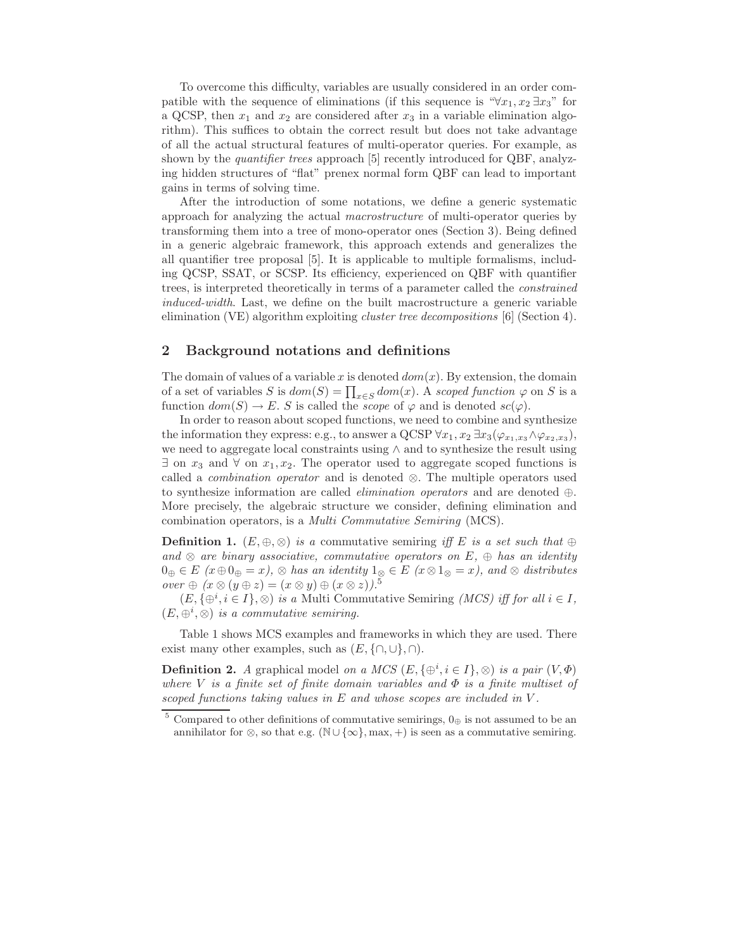To overcome this difficulty, variables are usually considered in an order compatible with the sequence of eliminations (if this sequence is " $\forall x_1, x_2 \exists x_3$ " for a QCSP, then  $x_1$  and  $x_2$  are considered after  $x_3$  in a variable elimination algorithm). This suffices to obtain the correct result but does not take advantage of all the actual structural features of multi-operator queries. For example, as shown by the *quantifier trees* approach [5] recently introduced for QBF, analyzing hidden structures of "flat" prenex normal form QBF can lead to important gains in terms of solving time.

After the introduction of some notations, we define a generic systematic approach for analyzing the actual macrostructure of multi-operator queries by transforming them into a tree of mono-operator ones (Section 3). Being defined in a generic algebraic framework, this approach extends and generalizes the all quantifier tree proposal [5]. It is applicable to multiple formalisms, including QCSP, SSAT, or SCSP. Its efficiency, experienced on QBF with quantifier trees, is interpreted theoretically in terms of a parameter called the constrained induced-width. Last, we define on the built macrostructure a generic variable elimination (VE) algorithm exploiting cluster tree decompositions [6] (Section 4).

## 2 Background notations and definitions

The domain of values of a variable x is denoted  $dom(x)$ . By extension, the domain of a set of variables S is  $dom(S) = \prod_{x \in S} dom(x)$ . A scoped function  $\varphi$  on S is a function  $dom(S) \to E$ . S is called the *scope* of  $\varphi$  and is denoted  $sc(\varphi)$ .

In order to reason about scoped functions, we need to combine and synthesize the information they express: e.g., to answer a QCSP  $\forall x_1, x_2 \exists x_3 (\varphi_{x_1,x_3} \wedge \varphi_{x_2,x_3}),$ we need to aggregate local constraints using ∧ and to synthesize the result using  $\exists$  on  $x_3$  and  $\forall$  on  $x_1, x_2$ . The operator used to aggregate scoped functions is called a *combination operator* and is denoted  $\otimes$ . The multiple operators used to synthesize information are called *elimination operators* and are denoted  $\oplus$ . More precisely, the algebraic structure we consider, defining elimination and combination operators, is a Multi Commutative Semiring (MCS).

**Definition 1.**  $(E, \oplus, \otimes)$  is a commutative semiring iff E is a set such that  $\oplus$ and  $\otimes$  are binary associative, commutative operators on E,  $\oplus$  has an identity  $0_{\oplus} \in E$  ( $x \oplus 0_{\oplus} = x$ ),  $\otimes$  has an identity  $1_{\otimes} \in E$  ( $x \otimes 1_{\otimes} = x$ ), and  $\otimes$  distributes over  $\oplus$   $(x \otimes (y \oplus z) = (x \otimes y) \oplus (x \otimes z))$ .<sup>5</sup>

 $(E, {\{\oplus}^i, i \in I}, \otimes)$  is a Multi Commutative Semiring (MCS) iff for all  $i \in I$ ,  $(E, \oplus^i, \otimes)$  is a commutative semiring.

Table 1 shows MCS examples and frameworks in which they are used. There exist many other examples, such as  $(E, \{\cap, \cup\}, \cap)$ .

**Definition 2.** A graphical model on a MCS  $(E, \{\oplus^i, i \in I\}, \otimes)$  is a pair  $(V, \Phi)$ where V is a finite set of finite domain variables and  $\Phi$  is a finite multiset of scoped functions taking values in  $E$  and whose scopes are included in  $V$ .

<sup>&</sup>lt;sup>5</sup> Compared to other definitions of commutative semirings,  $0_{\oplus}$  is not assumed to be an annihilator for ⊗, so that e.g. ( $\mathbb{N} \cup \{\infty\}$ , max, +) is seen as a commutative semiring.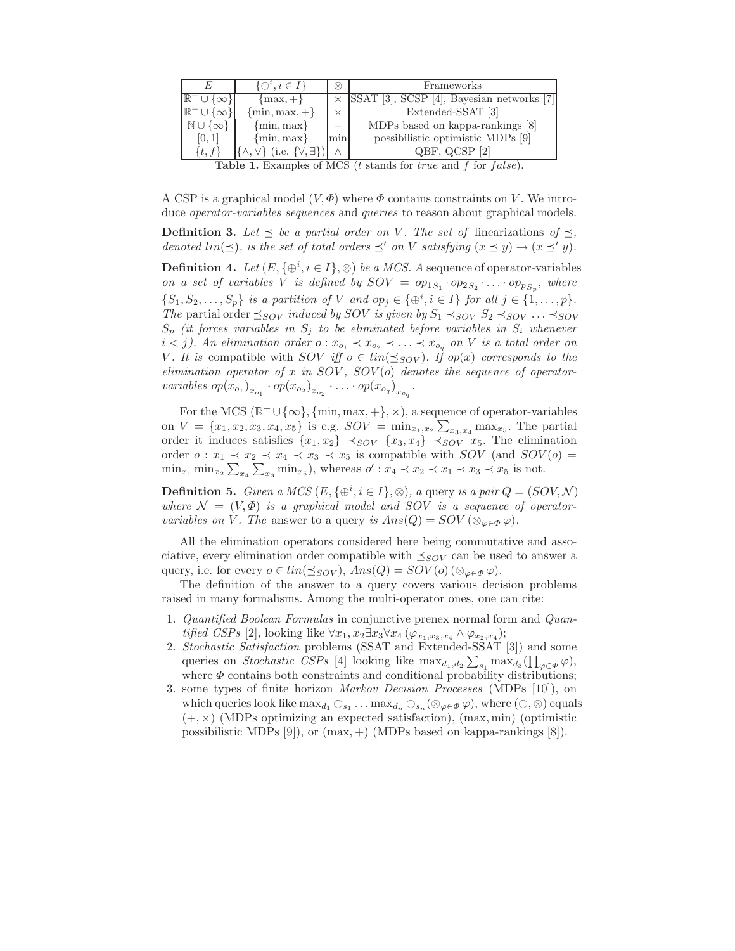| F.                                                                                                 | $\{\oplus^i, i \in I\}$                          | ⊗        | Frameworks                                         |  |  |  |  |
|----------------------------------------------------------------------------------------------------|--------------------------------------------------|----------|----------------------------------------------------|--|--|--|--|
| ∪∤∞∤∣                                                                                              | $\{max, +\}$                                     |          | $\times$ SSAT [3], SCSP [4], Bayesian networks [7] |  |  |  |  |
| $\mathbb{R}^+ \cup {\infty}$                                                                       | $\{\min, \max, +\}$                              | $\times$ | Extended-SSAT [3]                                  |  |  |  |  |
| $\mathbb{N} \cup \{\infty\}$                                                                       | $\{\min, \max\}$                                 | $+$      | MDPs based on kappa-rankings [8]                   |  |  |  |  |
| [0, 1]                                                                                             | $\{\min, \max\}$                                 | min      | possibilistic optimistic MDPs [9]                  |  |  |  |  |
| $\{t, f\}$                                                                                         | $\{\wedge,\vee\}$ (i.e. $\{\forall,\exists\}\$ ) |          | QBF, QCSP [2]                                      |  |  |  |  |
| <b>Table 1.</b> Examples of MCS ( <i>t</i> stands for <i>true</i> and <i>f</i> for <i>false</i> ). |                                                  |          |                                                    |  |  |  |  |

A CSP is a graphical model  $(V, \Phi)$  where  $\Phi$  contains constraints on V. We introduce *operator-variables sequences* and *queries* to reason about graphical models.

**Definition 3.** Let  $\leq$  be a partial order on V. The set of linearizations of  $\leq$ , denoted  $\lim(\prec)$ , is the set of total orders  $\prec'$  on V satisfying  $(x \prec y) \rightarrow (x \prec' y)$ .

**Definition 4.** Let  $(E, \{\oplus^i, i \in I\}, \otimes)$  be a MCS. A sequence of operator-variables on a set of variables V is defined by  $SOV = op_{1S_1} \cdot op_{2S_2} \cdot \ldots \cdot op_{S_p}$ , where  $\{S_1, S_2, \ldots, S_p\}$  is a partition of V and  $op_j \in \{\oplus^i, i \in I\}$  for all  $j \in \{1, \ldots, p\}$ . The partial order  $\preceq_{SOV}$  induced by SOV is given by  $S_1 \prec_{SOV} S_2 \prec_{SOV} \ldots \prec_{SOV}$  $S_p$  (it forces variables in  $S_j$  to be eliminated before variables in  $S_i$  whenever  $i < j$ ). An elimination order  $o: x_{o_1} \prec x_{o_2} \prec \ldots \prec x_{o_q}$  on V is a total order on V. It is compatible with SOV iff  $o \in lin(\preceq_{SOV})$ . If op(x) corresponds to the elimination operator of x in  $SOV$ ,  $SOV$ (o) denotes the sequence of operatorvariables  $op(x_{o_1})_{x_{o_1}} \cdot op(x_{o_2})_{x_{o_2}} \cdot ... \cdot op(x_{o_q})_{x_{o_q}}$ .

For the MCS  $(\mathbb{R}^+\cup\{\infty\}, \{\min, \max, +\}, \times)$ , a sequence of operator-variables on  $V = \{x_1, x_2, x_3, x_4, x_5\}$  is e.g.  $SOV = \min_{x_1, x_2} \sum_{x_3, x_4} \max_{x_5}$ . The partial order it induces satisfies  $\{x_1, x_2\} \prec_{SOV} \{x_3, x_4\} \prec_{SOV} \tilde{x}_5$ . The elimination order  $o: x_1 \prec x_2 \prec x_4 \prec x_3 \prec x_5$  is compatible with  $SOV$  (and  $SOV(o)$ )  $\min_{x_1} \min_{x_2} \sum_{x_4} \sum_{x_3} \min_{x_5}$ , whereas  $o' : x_4 \prec x_2 \prec x_1 \prec x_3 \prec x_5$  is not.

**Definition 5.** Given a MCS  $(E, \{\oplus^i, i \in I\}, \otimes)$ , a query is a pair  $Q = (SOV, \mathcal{N})$ where  $\mathcal{N} = (V, \Phi)$  is a graphical model and SOV is a sequence of operatorvariables on V. The answer to a query is  $Ans(Q) = SOV(\otimes_{\varphi \in \Phi} \varphi)$ .

All the elimination operators considered here being commutative and associative, every elimination order compatible with  $\preceq_{SOV}$  can be used to answer a query, i.e. for every  $o \in lin(\preceq_{SOV})$ ,  $Ans(Q) = SOV(o)$  ( $\otimes_{\varphi \in \Phi} \varphi$ ).

The definition of the answer to a query covers various decision problems raised in many formalisms. Among the multi-operator ones, one can cite:

- 1. Quantified Boolean Formulas in conjunctive prenex normal form and Quantified CSPs [2], looking like  $\forall x_1, x_2 \exists x_3 \forall x_4 (\varphi_{x_1,x_3,x_4} \land \varphi_{x_2,x_4});$
- 2. Stochastic Satisfaction problems (SSAT and Extended-SSAT [3]) and some queries on *Stochastic CSPs* [4] looking like  $\max_{d_1, d_2} \sum_{s_1} \max_{d_3} (\prod_{\varphi \in \Phi} \varphi)$ , where  $\Phi$  contains both constraints and conditional probability distributions;
- 3. some types of finite horizon Markov Decision Processes (MDPs [10]), on which queries look like  $\max_{d_1} \oplus_{s_1} \ldots \max_{d_n} \oplus_{s_n} (\otimes_{\varphi \in \Phi} \varphi)$ , where  $(\oplus, \otimes)$  equals  $(+, \times)$  (MDPs optimizing an expected satisfaction), (max, min) (optimistic possibilistic MDPs  $[9]$ , or  $(max, +)$  (MDPs based on kappa-rankings  $[8]$ ).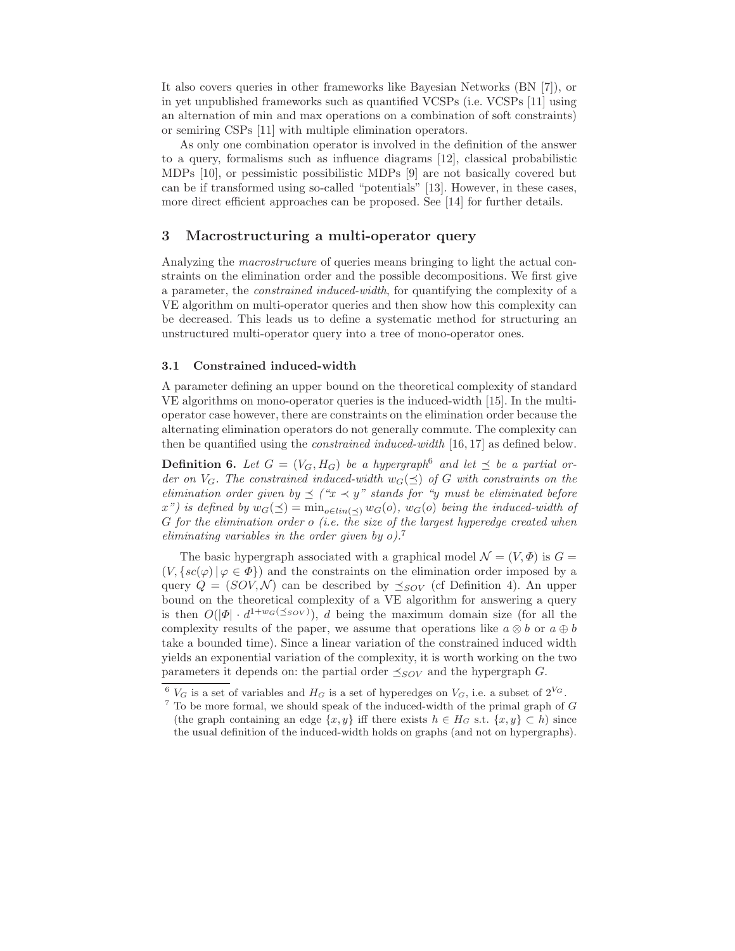It also covers queries in other frameworks like Bayesian Networks (BN [7]), or in yet unpublished frameworks such as quantified VCSPs (i.e. VCSPs [11] using an alternation of min and max operations on a combination of soft constraints) or semiring CSPs [11] with multiple elimination operators.

As only one combination operator is involved in the definition of the answer to a query, formalisms such as influence diagrams [12], classical probabilistic MDPs [10], or pessimistic possibilistic MDPs [9] are not basically covered but can be if transformed using so-called "potentials" [13]. However, in these cases, more direct efficient approaches can be proposed. See [14] for further details.

## 3 Macrostructuring a multi-operator query

Analyzing the macrostructure of queries means bringing to light the actual constraints on the elimination order and the possible decompositions. We first give a parameter, the constrained induced-width, for quantifying the complexity of a VE algorithm on multi-operator queries and then show how this complexity can be decreased. This leads us to define a systematic method for structuring an unstructured multi-operator query into a tree of mono-operator ones.

#### 3.1 Constrained induced-width

A parameter defining an upper bound on the theoretical complexity of standard VE algorithms on mono-operator queries is the induced-width [15]. In the multioperator case however, there are constraints on the elimination order because the alternating elimination operators do not generally commute. The complexity can then be quantified using the constrained induced-width [16, 17] as defined below.

**Definition 6.** Let  $G = (V_G, H_G)$  be a hypergraph<sup>6</sup> and let  $\preceq$  be a partial order on  $V_G$ . The constrained induced-width  $w_G(\preceq)$  of G with constraints on the elimination order given by  $\preceq$  (" $x \prec y$ " stands for "y must be eliminated before  $x'$ ) is defined by  $w_G(\preceq) = \min_{o \in lin(\prec)} w_G(o)$ ,  $w_G(o)$  being the induced-width of G for the elimination order  $o$  (i.e. the size of the largest hyperedge created when eliminating variables in the order given by  $o$ ).<sup>7</sup>

The basic hypergraph associated with a graphical model  $\mathcal{N} = (V, \Phi)$  is  $G =$  $(V, \{sc(\varphi) | \varphi \in \Phi\})$  and the constraints on the elimination order imposed by a query  $Q = (SOV, N)$  can be described by  $\preceq_{SOV}$  (cf Definition 4). An upper bound on the theoretical complexity of a VE algorithm for answering a query is then  $O(|\Phi| \cdot d^{1+w_G(\leq sov)})$ , d being the maximum domain size (for all the complexity results of the paper, we assume that operations like  $a \otimes b$  or  $a \oplus b$ take a bounded time). Since a linear variation of the constrained induced width yields an exponential variation of the complexity, it is worth working on the two parameters it depends on: the partial order  $\preceq_{SOV}$  and the hypergraph G.

 $6$  V<sub>G</sub> is a set of variables and  $H_G$  is a set of hyperedges on V<sub>G</sub>, i.e. a subset of  $2^{V_G}$ .

 $7$  To be more formal, we should speak of the induced-width of the primal graph of  $G$ (the graph containing an edge  $\{x, y\}$  iff there exists  $h \in H_G$  s.t.  $\{x, y\} \subset h$ ) since the usual definition of the induced-width holds on graphs (and not on hypergraphs).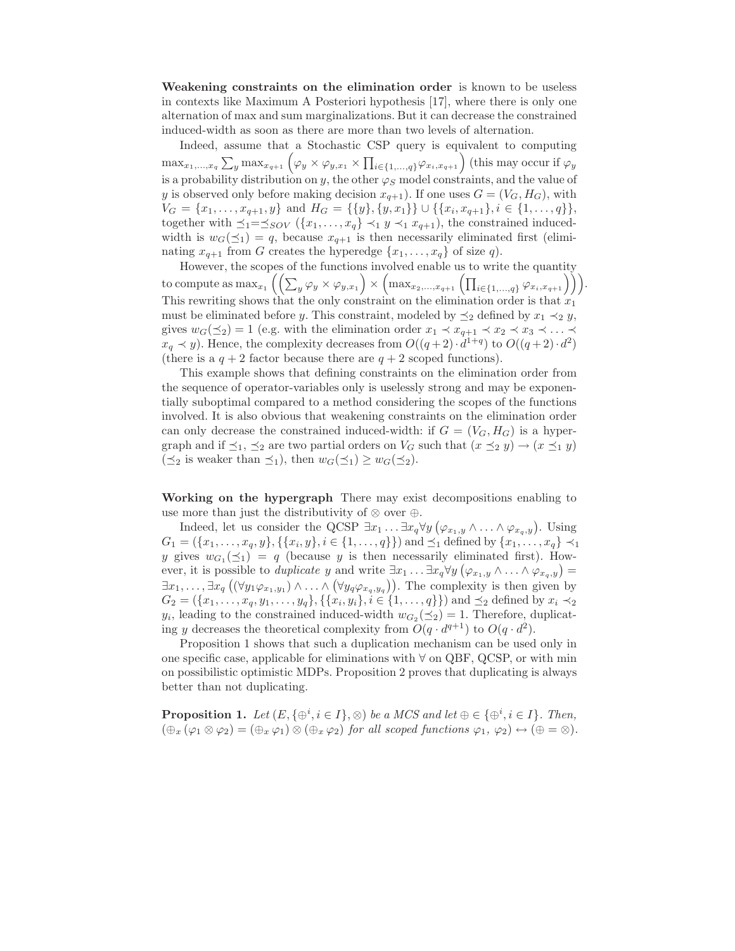Weakening constraints on the elimination order is known to be useless in contexts like Maximum A Posteriori hypothesis [17], where there is only one alternation of max and sum marginalizations. But it can decrease the constrained induced-width as soon as there are more than two levels of alternation.

Indeed, assume that a Stochastic CSP query is equivalent to computing  $\max_{x_1,\dots,x_q} \sum_y \max_{x_{q+1}} (\varphi_y \times \varphi_{y,x_1} \times \prod_{i \in \{1,\dots,q\}} \varphi_{x_i,x_{q+1}})$  (this may occur if  $\varphi_y$ is a probability distribution on y, the other  $\varphi_S$  model constraints, and the value of y is observed only before making decision  $x_{q+1}$ ). If one uses  $G = (V_G, H_G)$ , with  $V_G = \{x_1, \ldots, x_{q+1}, y\}$  and  $H_G = \{\{y\}, \{y, x_1\}\} \cup \{\{x_i, x_{q+1}\}, i \in \{1, \ldots, q\}\},\$ together with  $\preceq_1=\preceq_{SOV} (\{x_1,\ldots,x_q\} \prec_1 y \prec_1 x_{q+1}),$  the constrained inducedwidth is  $w_G(\preceq_1) = q$ , because  $x_{q+1}$  is then necessarily eliminated first (eliminating  $x_{q+1}$  from G creates the hyperedge  $\{x_1, \ldots, x_q\}$  of size q).

However, the scopes of the functions involved enable us to write the quantity to compute as  $\max_{x_1}\left(\left(\sum_y \varphi_y\times\varphi_{y,x_1}\right)\times\left(\max_{x_2,...,x_{q+1}}\left(\prod_{i\in\{1,...,q\}}\varphi_{x_i,x_{q+1}}\right)\right)\right).$ This rewriting shows that the only constraint on the elimination order is that  $x_1$ must be eliminated before y. This constraint, modeled by  $\preceq_2$  defined by  $x_1 \prec_2 y$ , gives  $w_G(\preceq_2) = 1$  (e.g. with the elimination order  $x_1 \prec x_{q+1} \prec x_2 \prec x_3 \prec \ldots \prec$  $x_q \prec y$ ). Hence, the complexity decreases from  $O((q+2) \cdot d^{1+q})$  to  $O((q+2) \cdot d^2)$ (there is a  $q + 2$  factor because there are  $q + 2$  scoped functions).

This example shows that defining constraints on the elimination order from the sequence of operator-variables only is uselessly strong and may be exponentially suboptimal compared to a method considering the scopes of the functions involved. It is also obvious that weakening constraints on the elimination order can only decrease the constrained induced-width: if  $G = (V_G, H_G)$  is a hypergraph and if  $\preceq_1$ ,  $\preceq_2$  are two partial orders on  $V_G$  such that  $(x \preceq_2 y) \rightarrow (x \preceq_1 y)$  $(\preceq_2$  is weaker than  $\preceq_1$ ), then  $w_G(\preceq_1) \geq w_G(\preceq_2)$ .

Working on the hypergraph There may exist decompositions enabling to use more than just the distributivity of  $\otimes$  over  $\oplus$ .

Indeed, let us consider the QCSP  $\exists x_1 \ldots \exists x_q \forall y (\varphi_{x_1,y} \wedge \ldots \wedge \varphi_{x_q,y})$ . Using  $G_1 = (\{x_1, \ldots, x_q, y\}, \{\{x_i, y\}, i \in \{1, \ldots, q\}\})$  and  $\preceq_1$  defined by  $\{x_1, \ldots, x_q\} \prec_1$ y gives  $w_{G_1}(\preceq_1) = q$  (because y is then necessarily eliminated first). However, it is possible to *duplicate* y and write  $\exists x_1 \ldots \exists x_q \forall y (\varphi_{x_1,y} \wedge \ldots \wedge \varphi_{x_q,y}) =$  $\exists x_1,\ldots,\exists x_q$   $((\forall y_1\varphi_{x_1,y_1})\wedge\ldots\wedge(\forall y_q\varphi_{x_q,y_q}))$ . The complexity is then given by  $G_2 = (\{x_1, \ldots, x_q, y_1, \ldots, y_q\}, \{\{x_i, y_i\}, i \in \{1, \ldots, q\}\})$  and  $\preceq_2$  defined by  $x_i \prec_2$  $y_i$ , leading to the constrained induced-width  $w_{G_2}(\preceq_2) = 1$ . Therefore, duplicating y decreases the theoretical complexity from  $O(q \cdot d^{q+1})$  to  $O(q \cdot d^2)$ .

Proposition 1 shows that such a duplication mechanism can be used only in one specific case, applicable for eliminations with ∀ on QBF, QCSP, or with min on possibilistic optimistic MDPs. Proposition 2 proves that duplicating is always better than not duplicating.

**Proposition 1.** Let  $(E, \{\oplus^i, i \in I\}, \otimes)$  be a MCS and let  $\oplus \in \{\oplus^i, i \in I\}$ . Then,  $(\bigoplus_x (\varphi_1 \otimes \varphi_2) = (\bigoplus_x \varphi_1) \otimes (\bigoplus_x \varphi_2)$  for all scoped functions  $\varphi_1, \varphi_2) \leftrightarrow (\oplus = \otimes)$ .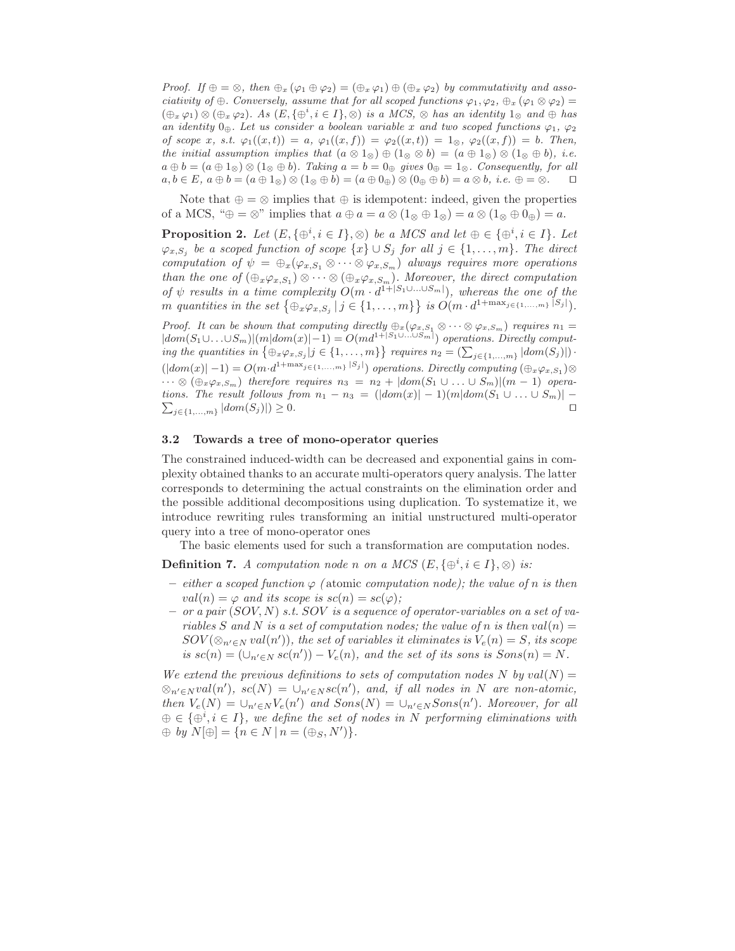Proof. If  $\oplus = \otimes$ , then  $\oplus_x (\varphi_1 \oplus \varphi_2) = (\oplus_x \varphi_1) \oplus (\oplus_x \varphi_2)$  by commutativity and associativity of ⊕. Conversely, assume that for all scoped functions  $\varphi_1, \varphi_2, \oplus_x (\varphi_1 \otimes \varphi_2) =$  $(\bigoplus_x \varphi_1) \otimes (\bigoplus_x \varphi_2)$ . As  $(E, \{\oplus^i, i \in I\}, \otimes)$  is a MCS,  $\otimes$  has an identity  $1_{\otimes}$  and  $\oplus$  has an identity  $0_{\oplus}$ . Let us consider a boolean variable x and two scoped functions  $\varphi_1, \varphi_2$ of scope x, s.t.  $\varphi_1((x,t)) = a$ ,  $\varphi_1((x,f)) = \varphi_2((x,t)) = 1_{\otimes}$ ,  $\varphi_2((x,f)) = b$ . Then, the initial assumption implies that  $(a \otimes 1_{\otimes}) \oplus (1_{\otimes} \otimes b) = (a \oplus 1_{\otimes}) \otimes (1_{\otimes} \oplus b)$ , i.e.  $a \oplus b = (a \oplus 1_{\otimes}) \otimes (1_{\otimes} \oplus b)$ . Taking  $a = b = 0_{\oplus}$  gives  $0_{\oplus} = 1_{\otimes}$ . Consequently, for all  $a, b \in E$ ,  $a \oplus b = (a \oplus 1_{\otimes}) \otimes (1_{\otimes} \oplus b) = (a \oplus 0_{\oplus}) \otimes (0_{\oplus} \oplus b) = a \otimes b$ , *i.e.*  $\oplus = \otimes$ . □

Note that  $\oplus = \otimes$  implies that  $\oplus$  is idempotent: indeed, given the properties of a MCS, " $\oplus = \otimes$ " implies that  $a \oplus a = a \otimes (1 \otimes \oplus 1 \otimes) = a \otimes (1 \otimes \oplus 0 \otimes) = a$ .

**Proposition 2.** Let  $(E, \{\oplus^i, i \in I\}, \otimes)$  be a MCS and let  $\oplus \in \{\oplus^i, i \in I\}$ . Let  $\varphi_{x,S_j}$  be a scoped function of scope  $\{x\} \cup S_j$  for all  $j \in \{1,\ldots,m\}$ . The direct computation of  $\psi = \bigoplus_{x} (\varphi_{x,S_1} \otimes \cdots \otimes \varphi_{x,S_m})$  always requires more operations than the one of  $(\bigoplus_{x \varphi_{x,S_1}}) \otimes \cdots \otimes (\bigoplus_{x \varphi_{x,S_m}})$ . Moreover, the direct computation of  $\psi$  results in a time complexity  $O(m \cdot d^{1+|S_1 \cup ... \cup S_m|})$ , whereas the one of the m quantities in the set  $\{\oplus_x \varphi_{x,S_j} \mid j \in \{1, ..., m\}\}\$ is  $O(m \cdot d^{1+\max_{j \in \{1, ..., m\}} |S_j|})$ .

Proof. It can be shown that computing directly  $\oplus_x(\varphi_{x,S_1}\otimes\cdots\otimes\varphi_{x,S_m})$  requires  $n_1=$  $|dom(S_1 \cup ... \cup S_m)|(m|dom(x)|-1) = O(md^{1+|S_1 \cup ... \cup S_m|})$  operations. Directly computing the quantities in  $\{\oplus_x \varphi_{x,S_j} | j \in \{1,\ldots,m\}\}$  requires  $n_2 = (\sum_{j \in \{1,\ldots,m\}} |dom(S_j)|)$ .  $(|dom(x)|-1) = O(m \cdot d^{1+\max_{j \in \{1,...,m\}} |S_j|})$  operations. Directly computing  $(\bigoplus_{x \varphi_{x,S_1}}) \otimes$  $\cdots \otimes (\bigoplus_{x \varphi_{x,S_m}})$  therefore requires  $n_3 = n_2 + |dom(S_1 \cup \ldots \cup S_m)|(m-1)$  opera- $\sum_{j\in\{1,\ldots,m\}} |dom(S_j)|) \geq 0.$ tions. The result follows from  $n_1 - n_3 = (|dom(x)| - 1)(m|dom(S_1 \cup ... \cup S_m)| -$ 

#### 3.2 Towards a tree of mono-operator queries

The constrained induced-width can be decreased and exponential gains in complexity obtained thanks to an accurate multi-operators query analysis. The latter corresponds to determining the actual constraints on the elimination order and the possible additional decompositions using duplication. To systematize it, we introduce rewriting rules transforming an initial unstructured multi-operator query into a tree of mono-operator ones

The basic elements used for such a transformation are computation nodes.

**Definition 7.** A computation node n on a MCS  $(E, \{\oplus^i, i \in I\}, \otimes)$  is:

- either a scoped function  $\varphi$  (atomic computation node); the value of n is then  $val(n) = \varphi$  and its scope is  $sc(n) = sc(\varphi)$ ;
- $-$  or a pair  $(SOV, N)$  s.t.  $SOV$  is a sequence of operator-variables on a set of variables S and N is a set of computation nodes; the value of n is then  $val(n) =$  $SOV(\otimes_{n' \in N} val(n'))$ , the set of variables it eliminates is  $V_e(n) = S$ , its scope is  $sc(n) = (\bigcup_{n' \in N} sc(n')) - V_e(n)$ , and the set of its sons is  $Sons(n) = N$ .

We extend the previous definitions to sets of computation nodes N by  $val(N) =$  $\otimes_{n' \in N} val(n'), sc(N) = \cup_{n' \in N} sc(n'), and, if all nodes in N are non-atomic,$ then  $V_e(N) = \bigcup_{n' \in N} V_e(n')$  and  $Sons(N) = \bigcup_{n' \in N} Sons(n')$ . Moreover, for all  $\Theta \in {\Theta^i, i \in I}$ , we define the set of nodes in N performing eliminations with  $\oplus$  by  $N[\oplus] = \{n \in N \mid n = (\oplus_S, N')\}.$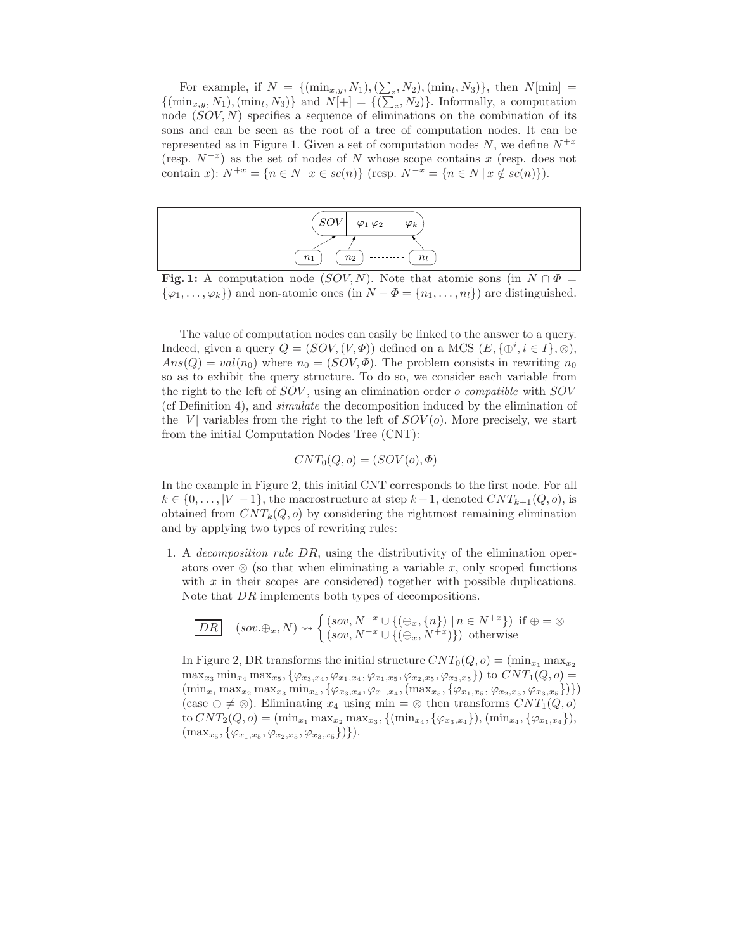For example, if  $N = \{(\min_{x,y}, N_1), (\sum_z, N_2), (\min_t, N_3)\},\$  then  $N[\min] =$  $\{(\min_{x,y}, N_1), (\min_t, N_3)\}\$ and  $N[+] = \{(\sum_z, N_2)\}\$ . Informally, a computation node  $(SOV, N)$  specifies a sequence of eliminations on the combination of its sons and can be seen as the root of a tree of computation nodes. It can be represented as in Figure 1. Given a set of computation nodes N, we define  $N^{+x}$ (resp.  $N^{-x}$ ) as the set of nodes of N whose scope contains x (resp. does not contain x):  $N^{+x} = \{n \in N \mid x \in sc(n)\}\$  (resp.  $N^{-x} = \{n \in N \mid x \notin sc(n)\}\)$ .



**Fig. 1:** A computation node (SOV, N). Note that atomic sons (in  $N \cap \Phi$  $\{\varphi_1,\ldots,\varphi_k\}\)$  and non-atomic ones (in  $N-\Phi=\{n_1,\ldots,n_l\}\)$  are distinguished.

The value of computation nodes can easily be linked to the answer to a query. Indeed, given a query  $Q = (SOV, (V, \Phi))$  defined on a MCS  $(E, {\{\oplus}^i, i \in I\}, \otimes)$ ,  $Ans(Q) = val(n_0)$  where  $n_0 = (SOV, \Phi)$ . The problem consists in rewriting  $n_0$ so as to exhibit the query structure. To do so, we consider each variable from the right to the left of SOV , using an elimination order o compatible with SOV (cf Definition 4), and simulate the decomposition induced by the elimination of the |V| variables from the right to the left of  $SOV(\rho)$ . More precisely, we start from the initial Computation Nodes Tree (CNT):

$$
CNT_0(Q,o) = (SOV(o), \Phi)
$$

In the example in Figure 2, this initial CNT corresponds to the first node. For all  $k \in \{0, \ldots, |V|-1\}$ , the macrostructure at step  $k+1$ , denoted  $CNT_{k+1}(Q, o)$ , is obtained from  $CNT_k(Q, o)$  by considering the rightmost remaining elimination and by applying two types of rewriting rules:

1. A decomposition rule DR, using the distributivity of the elimination operators over  $\otimes$  (so that when eliminating a variable x, only scoped functions with  $x$  in their scopes are considered) together with possible duplications. Note that DR implements both types of decompositions.

$$
\boxed{DR} \quad (sov. \oplus_x, N) \rightsquigarrow \begin{cases} (sov, N^{-x} \cup \{(\oplus_x, \{n\}) \mid n \in N^{+x}\}) \text{ if } \oplus = \otimes \\ (sov, N^{-x} \cup \{(\oplus_x, N^{+x})\}) \text{ otherwise} \end{cases}
$$

In Figure 2, DR transforms the initial structure  $CNT_0(Q, o) = (\min_{x_1} \max_{x_2}$  $\max_{x_3} \min_{x_4} \max_{x_5}, \{\varphi_{x_3,x_4}, \varphi_{x_1,x_4}, \varphi_{x_1,x_5}, \varphi_{x_2,x_5}, \varphi_{x_3,x_5}\}\)$  to  $CNT_1(Q, o) =$  $(\min_{x_1} \max_{x_2} \max_{x_3} \min_{x_4}, \{\varphi_{x_3,x_4}, \varphi_{x_1,x_4}, (\max_{x_5}, \{\varphi_{x_1,x_5}, \varphi_{x_2,x_5}, \varphi_{x_3,x_5}\})\})$ (case  $\oplus \neq \otimes$ ). Eliminating  $x_4$  using min =  $\otimes$  then transforms  $CNT_1(Q, o)$ to  $CNT_2(Q, o) = (\min_{x_1} \max_{x_2} \max_{x_3}, \{(\min_{x_4}, \{\varphi_{x_3, x_4}\}), (\min_{x_4}, \{\varphi_{x_1, x_4}\}),$  $(\max_{x_5}, {\varphi_{x_1,x_5}, \varphi_{x_2,x_5}, \varphi_{x_3,x_5}})\}.$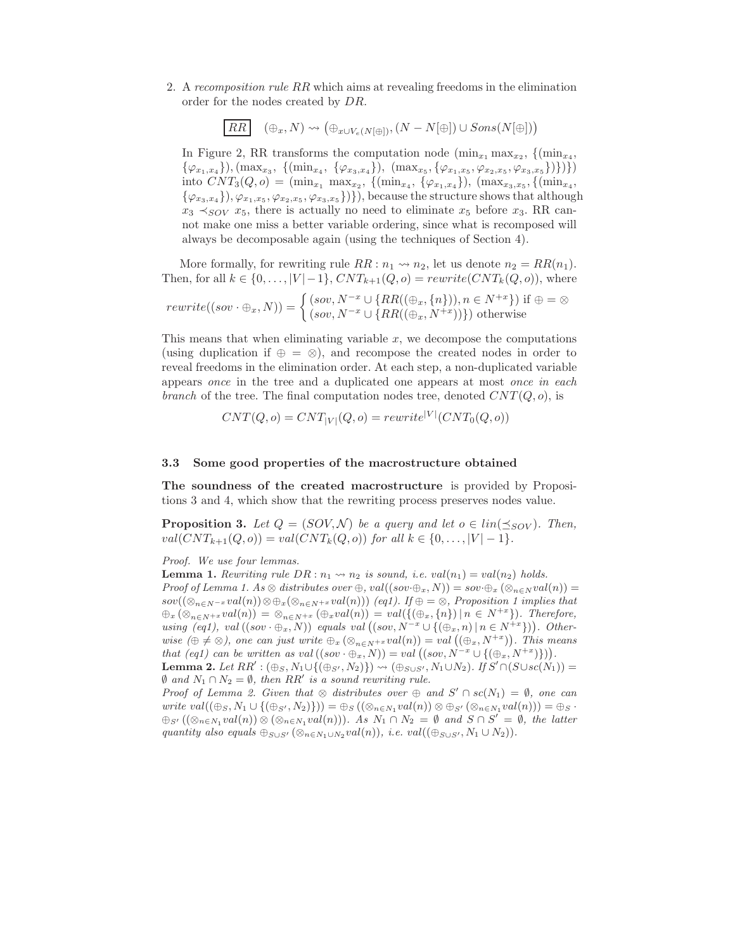2. A recomposition rule RR which aims at revealing freedoms in the elimination order for the nodes created by DR.

$$
\boxed{RR} \quad (\oplus_x, N) \rightsquigarrow (\oplus_{x \cup V_e(N[\oplus]), (N - N[\oplus]) \cup Sons(N[\oplus]))
$$

In Figure 2, RR transforms the computation node  $(\min_{x_1} \max_{x_2}, \{(\min_{x_4},$  $\{\varphi_{x_1,x_4}\}, (\max_{x_3}, \{(\min_{x_4}, \{\varphi_{x_3,x_4}\}), (\max_{x_5}, \{\varphi_{x_1,x_5}, \varphi_{x_2,x_5}, \varphi_{x_3,x_5}\})\})\})$ into  $CNT_3(Q, o) = (\min_{x_1} \max_{x_2}, \{(\min_{x_4}, \{\varphi_{x_1,x_4}\}), (\max_{x_3,x_5}, \{(\min_{x_4}, \{\varphi_{x_2,x_4}\}), (\max_{x_4}, \{\varphi_{x_4}, \{\varphi_{x_5}, \{\varphi_{x_6}, \{\varphi_{x_7}, \{\varphi_{x_8}, \{\varphi_{x_9}, \{\varphi_{x_1}, \{\varphi_{x_2}, \{\varphi_{x_4}, \{\varphi_{x_4}, \{\varphi_{x_4}, \{\varphi_{x_4}, \{\varphi_{x_6}, \{\varphi_{x_6}, \{\varphi_{x$  $\{\varphi_{x_3,x_4}\}, \varphi_{x_1,x_5}, \varphi_{x_2,x_5}, \varphi_{x_3,x_5}\}$ }, because the structure shows that although  $x_3 \prec_{SOV} x_5$ , there is actually no need to eliminate  $x_5$  before  $x_3$ . RR cannot make one miss a better variable ordering, since what is recomposed will always be decomposable again (using the techniques of Section 4).

More formally, for rewriting rule  $RR: n_1 \rightarrow n_2$ , let us denote  $n_2 = RR(n_1)$ . Then, for all  $k \in \{0, ..., |V|-1\}$ ,  $CNT_{k+1}(Q, o) = rewrite(CNT_k(Q, o))$ , where

$$
rewrite((sov \cdot \oplus_x, N)) = \begin{cases} (sov, N^{-x} \cup \{RR((\oplus_x, \{n\})), n \in N^{+x}\}) \text{ if } \oplus = \otimes \\ (sov, N^{-x} \cup \{RR((\oplus_x, N^{+x}))\}) \text{ otherwise} \end{cases}
$$

This means that when eliminating variable  $x$ , we decompose the computations (using duplication if  $\oplus = \otimes$ ), and recompose the created nodes in order to reveal freedoms in the elimination order. At each step, a non-duplicated variable appears once in the tree and a duplicated one appears at most once in each branch of the tree. The final computation nodes tree, denoted  $CNT(Q, o)$ , is

$$
CNT(Q, o) = CNT_{|V|}(Q, o) = rewrite^{|V|}(CNT_0(Q, o))
$$

#### 3.3 Some good properties of the macrostructure obtained

The soundness of the created macrostructure is provided by Propositions 3 and 4, which show that the rewriting process preserves nodes value.

**Proposition 3.** Let  $Q = (SOV, N)$  be a query and let  $o \in lin(\preceq_{SOV})$ . Then,  $val(CNT_{k+1}(Q, o)) = val(CNT_k(Q, o))$  for all  $k \in \{0, ..., |V| - 1\}$ .

Proof. We use four lemmas.

**Lemma 1.** Rewriting rule  $DR : n_1 \rightarrow n_2$  is sound, i.e.  $val(n_1) = val(n_2)$  holds. Proof of Lemma 1. As  $\otimes$  distributes over  $\oplus$ , val $((sov \oplus_x, N)) = sov \oplus_x (\otimes_{n \in N} val(n)) =$ sov $((\otimes_{n\in N^{-x}} val(n))\otimes \oplus_{x} (\otimes_{n\in N^{+x}} val(n)))$  (eq1). If  $\oplus =\otimes$ , Proposition 1 implies that  $\bigoplus_{x} (\otimes_{n \in N^{+x}} val(n)) = \otimes_{n \in N^{+x}} (\bigoplus_{x} val(n)) = val(\{(\bigoplus_{x}, \{n\}) \mid n \in N^{+x}\}).$  Therefore, using  $(eq1), val((sov \oplus_x, N))$  equals val  $((sov, N^{-x} \cup \{(\oplus_x, n) | n \in N^{+x}\}))$ . Otherwise  $(\oplus \neq \otimes)$ , one can just write  $\oplus_x (\otimes_{n \in N^{+x}} val(n)) = val((\oplus_x, N^{+x}))$ . This means that (eq1) can be written as val  $((sov \cdot \oplus_x, N)) = val ((sov, N^{-x} \cup \{(\oplus_x, N^{+x})\})).$ Lemma 2. Let  $RR': (\oplus_S, N_1 \cup \{(\oplus_{S'}, N_2)\}) \rightsquigarrow (\oplus_{S \cup S'}, N_1 \cup N_2)$ . If  $S' \cap (S \cup sc(N_1)) =$  $\emptyset$  and  $N_1 \cap N_2 = \emptyset$ , then RR' is a sound rewriting rule.

Proof of Lemma 2. Given that  $\otimes$  distributes over  $\oplus$  and  $S' \cap sc(N_1) = \emptyset$ , one can write  $val((\oplus_S, N_1 \cup \{(\oplus_{S'}, N_2)\})) = \oplus_S ((\otimes_{n \in N_1} val(n)) \otimes \oplus_{S'} (\otimes_{n \in N_1} val(n))) = \oplus_S \cdot$  $\bigoplus_{S'} ((\otimes_{n\in N_1} val(n)) \otimes (\otimes_{n\in N_1} val(n)))$ . As  $N_1 \cap N_2 = \emptyset$  and  $S \cap S' = \emptyset$ , the latter quantity also equals  $\bigoplus_{S\cup S'} (\otimes_{n\in N_1\cup N_2} val(n)),$  i.e.  $val((\bigoplus_{S\cup S'}, N_1\cup N_2)).$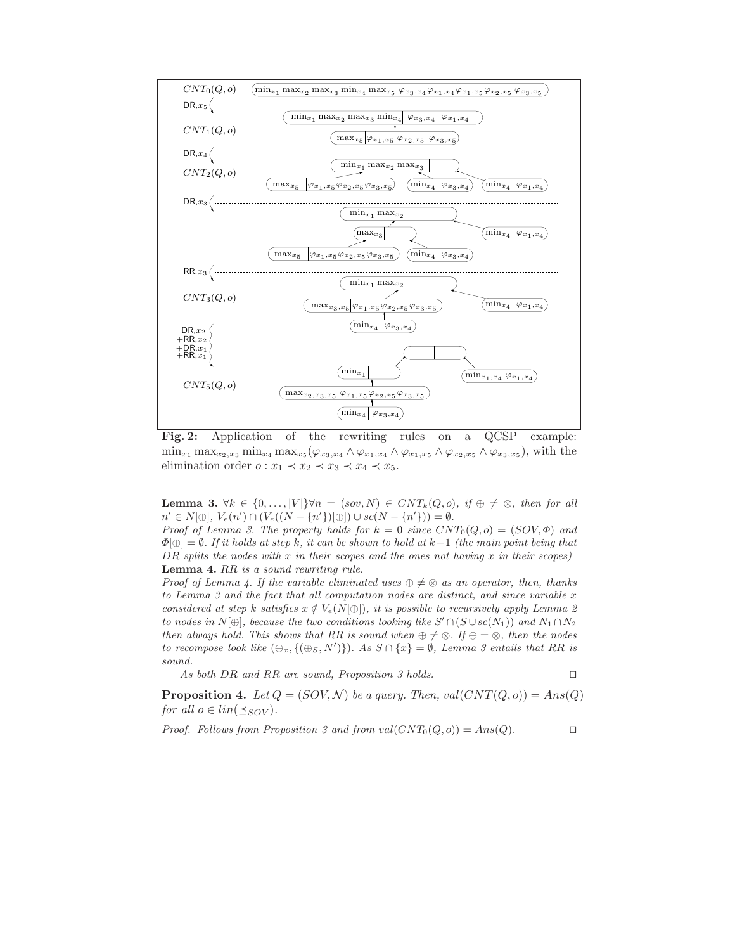

Fig. 2: Application of the rewriting rules on a QCSP example:  $\min_{x_1} \max_{x_2, x_3} \min_{x_4} \max_{x_5} (\varphi_{x_3, x_4} \wedge \varphi_{x_1, x_4} \wedge \varphi_{x_1, x_5} \wedge \varphi_{x_2, x_5} \wedge \varphi_{x_3, x_5}),$  with the elimination order  $o: x_1 \prec x_2 \prec x_3 \prec x_4 \prec x_5$ .

**Lemma 3.**  $\forall k \in \{0, \ldots, |V|\} \forall n = (sov, N) \in CNT_k(Q, o)$ , if  $\oplus \neq \otimes$ , then for all  $n' \in N[\oplus], V_e(n') \cap (V_e((N - \{n'\})[\oplus]) \cup sc(N - \{n'\})) = \emptyset.$ 

Proof of Lemma 3. The property holds for  $k = 0$  since  $CNT_0(Q, o) = (SOV, \Phi)$  and  $\Phi[\oplus] = \emptyset$ . If it holds at step k, it can be shown to hold at  $k+1$  (the main point being that  $DR$  splits the nodes with x in their scopes and the ones not having x in their scopes) Lemma 4. RR is a sound rewriting rule.

Proof of Lemma 4. If the variable eliminated uses  $\oplus \neq \otimes$  as an operator, then, thanks to Lemma 3 and the fact that all computation nodes are distinct, and since variable  $x$ considered at step k satisfies  $x \notin V_e(N[\oplus])$ , it is possible to recursively apply Lemma 2 to nodes in  $N[\oplus]$ , because the two conditions looking like  $S' \cap (S \cup sc(N_1))$  and  $N_1 \cap N_2$ then always hold. This shows that RR is sound when  $\oplus \neq \otimes$ . If  $\oplus = \otimes$ , then the nodes to recompose look like  $(\bigoplus_x, \{(\bigoplus_S, N')\})$ . As  $S \cap \{x\} = \emptyset$ , Lemma 3 entails that RR is sound.

As both DR and RR are sound, Proposition 3 holds. □

**Proposition 4.** Let  $Q = (SOV, N)$  be a query. Then, val $(CNT(Q, o)) = Ans(Q)$ for all  $o \in lin(\preceq_{SOV}).$ 

Proof. Follows from Proposition 3 and from val $(CNT_0(Q, o)) = Ans(Q)$ . □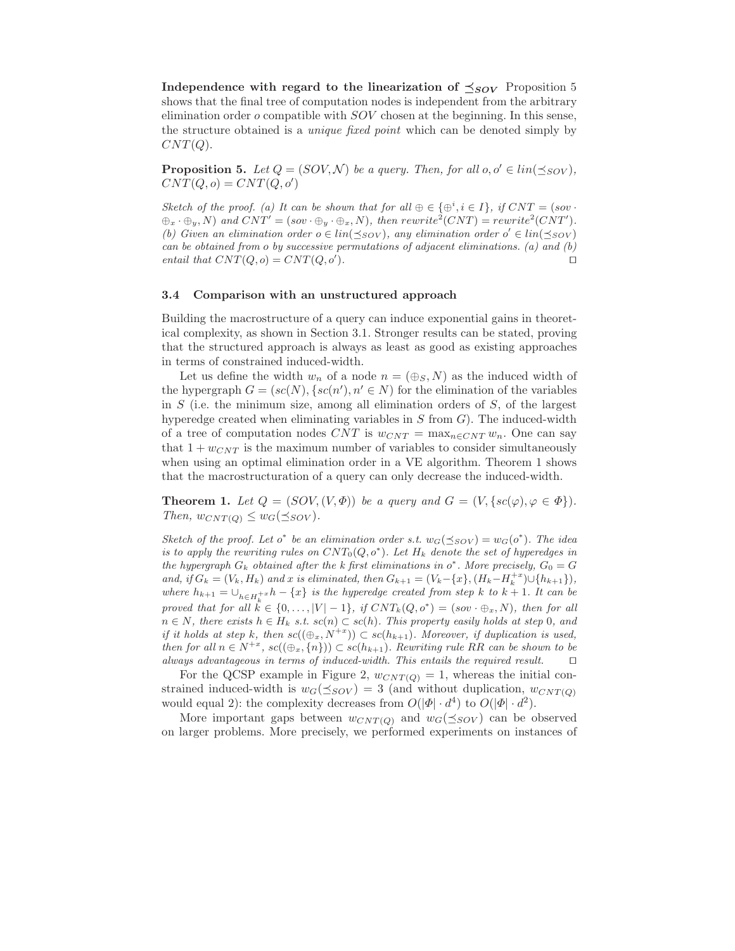Independence with regard to the linearization of  $\preceq_{SOV}$  Proposition 5 shows that the final tree of computation nodes is independent from the arbitrary elimination order  $\sigma$  compatible with  $SOV$  chosen at the beginning. In this sense, the structure obtained is a unique fixed point which can be denoted simply by  $CNT(Q).$ 

**Proposition 5.** Let  $Q = (SOV, N)$  be a query. Then, for all  $o, o' \in lin(\preceq_{SOV})$ ,  $CNT(Q,o) = CNT(Q,o')$ 

Sketch of the proof. (a) It can be shown that for all  $\oplus \in {\oplus}^i, i \in I$ , if  $CNT = (sov \cdot$  $\oplus_x \cdot \oplus_y, N$ ) and  $CNT' = (sov \cdot \oplus_y \cdot \oplus_x, N)$ , then rewrite<sup>2</sup>(CNT) = rewrite<sup>2</sup>(CNT'). (b) Given an elimination order  $o \in lin(\leq_{SOV})$ , any elimination order  $o' \in lin(\leq_{SOV})$ can be obtained from o by successive permutations of adjacent eliminations. (a) and  $(b)$ entail that  $CNT(Q, o) = CNT(Q, o').$ ). ⊓⊔

#### 3.4 Comparison with an unstructured approach

Building the macrostructure of a query can induce exponential gains in theoretical complexity, as shown in Section 3.1. Stronger results can be stated, proving that the structured approach is always as least as good as existing approaches in terms of constrained induced-width.

Let us define the width  $w_n$  of a node  $n = (\bigoplus_{S} N)$  as the induced width of the hypergraph  $G = (sc(N), \{sc(n'), n' \in N)$  for the elimination of the variables in  $S$  (i.e. the minimum size, among all elimination orders of  $S$ , of the largest hyperedge created when eliminating variables in  $S$  from  $G$ ). The induced-width of a tree of computation nodes CNT is  $w_{CNT} = \max_{n \in CNT} w_n$ . One can say that  $1 + w_{CNT}$  is the maximum number of variables to consider simultaneously when using an optimal elimination order in a VE algorithm. Theorem 1 shows that the macrostructuration of a query can only decrease the induced-width.

**Theorem 1.** Let  $Q = (SOV, (V, \Phi))$  be a query and  $G = (V, \{sc(\varphi), \varphi \in \Phi\}).$ Then,  $w_{CNT(Q)} \leq w_G(\preceq_{SOV}).$ 

Sketch of the proof. Let  $o^*$  be an elimination order s.t.  $w_G(\leq_{SOV}) = w_G(o^*)$ . The idea is to apply the rewriting rules on  $CNT_0(Q, o^*)$ . Let  $H_k$  denote the set of hyperedges in the hypergraph  $G_k$  obtained after the k first eliminations in  $o^*$ . More precisely,  $G_0 = G$ and, if  $G_k = (V_k, H_k)$  and x is eliminated, then  $G_{k+1} = (V_k - \{x\}, (H_k - H_k^{+x}) \cup \{h_{k+1}\}),$ where  $h_{k+1} = \bigcup_{h \in H_k^{+x}} h - \{x\}$  is the hyperedge created from step k to  $k+1$ . It can be proved that for all  $k \in \{0, \ldots, |V|-1\}$ , if  $CNT_k(Q, o^*) = (sov \cdot \bigoplus_x, N)$ , then for all  $n \in N$ , there exists  $h \in H_k$  s.t.  $sc(n) \subset sc(h)$ . This property easily holds at step 0, and if it holds at step k, then  $sc((\oplus_x, N^{+x})) \subset sc(h_{k+1})$ . Moreover, if duplication is used, then for all  $n \in N^{+x}$ ,  $sc((\bigoplus_x, \{n\})) \subset sc(h_{k+1})$ . Rewriting rule RR can be shown to be always advantageous in terms of induced-width. This entails the required result. ⊓⊔

For the QCSP example in Figure 2,  $w_{CNT(Q)} = 1$ , whereas the initial constrained induced-width is  $w_G(\preceq_{SOV}) = 3$  (and without duplication,  $w_{CNT(Q)}$ ) would equal 2): the complexity decreases from  $O(|\Phi| \cdot d^4)$  to  $O(|\Phi| \cdot d^2)$ .

More important gaps between  $w_{CNT(Q)}$  and  $w_G(\preceq_{SOV})$  can be observed on larger problems. More precisely, we performed experiments on instances of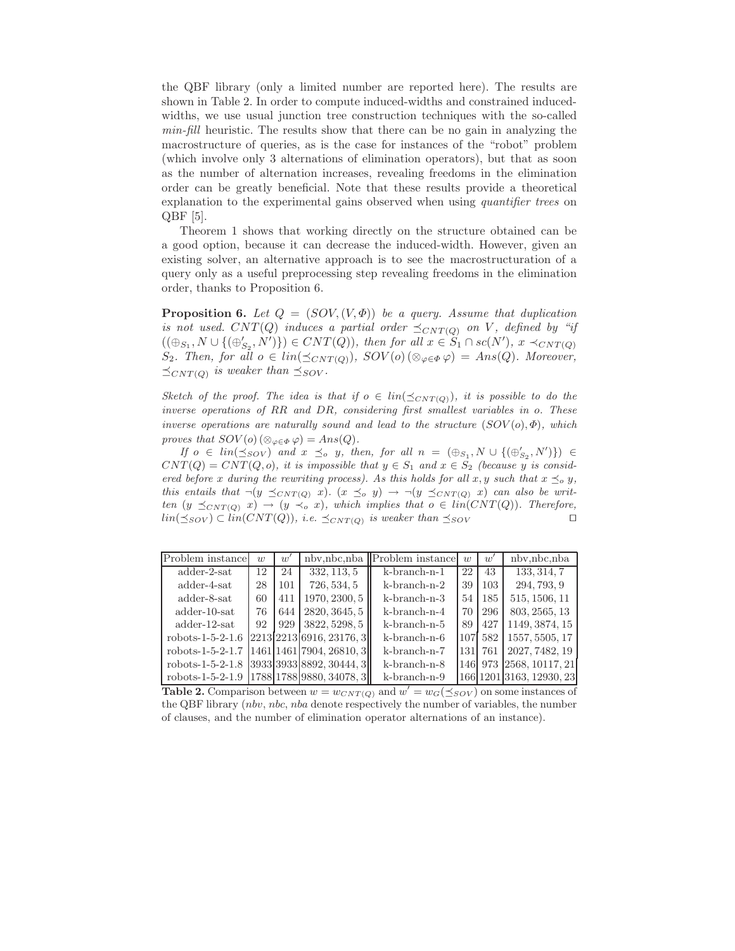the QBF library (only a limited number are reported here). The results are shown in Table 2. In order to compute induced-widths and constrained inducedwidths, we use usual junction tree construction techniques with the so-called min-fill heuristic. The results show that there can be no gain in analyzing the macrostructure of queries, as is the case for instances of the "robot" problem (which involve only 3 alternations of elimination operators), but that as soon as the number of alternation increases, revealing freedoms in the elimination order can be greatly beneficial. Note that these results provide a theoretical explanation to the experimental gains observed when using *quantifier trees* on QBF [5].

Theorem 1 shows that working directly on the structure obtained can be a good option, because it can decrease the induced-width. However, given an existing solver, an alternative approach is to see the macrostructuration of a query only as a useful preprocessing step revealing freedoms in the elimination order, thanks to Proposition 6.

**Proposition 6.** Let  $Q = (SOV, (V, \Phi))$  be a query. Assume that duplication is not used. CNT(Q) induces a partial order  $\preceq_{CNT(Q)}$  on V, defined by "if  $((\oplus_{S_1}, N \cup \{(\oplus'_{S_2}, N')\}) \in CNT(Q)),$  then for all  $x \in S_1 \cap sc(N'), x \prec_{CNT(Q)}$  $S_2$ . Then, for all  $o \in lin(\preceq_{CNT(Q)})$ ,  $SOV(o)$  ( $\otimes_{\varphi \in \Phi} \varphi) = Ans(Q)$ . Moreover,  $\preceq_{CNT(Q)}$  is weaker than  $\preceq_{SOV}$ .

Sketch of the proof. The idea is that if  $o \in lin(\preceq_{CNT(Q)})$ , it is possible to do the inverse operations of RR and DR, considering first smallest variables in o. These inverse operations are naturally sound and lead to the structure  $(SOV(o), \Phi)$ , which proves that  $SOV(o)$  ( $\otimes_{\varphi \in \Phi} \varphi$ ) = Ans(Q).

If  $o \in lin(\leq_{SOV})$  and  $x \leq_o y$ , then, for all  $n = (\bigoplus_{S_1} N \cup \{(\bigoplus'_{S_2}, N')\}) \in$  $CNT(Q) = CNT(Q, o)$ , it is impossible that  $y \in S_1$  and  $x \in S_2$  (because y is considered before x during the rewriting process). As this holds for all x, y such that  $x \preceq_o y$ , this entails that  $\neg(y \preceq_{CNT(Q)} x)$ .  $(x \preceq_o y) \rightarrow \neg(y \preceq_{CNT(Q)} x)$  can also be written  $(y \preceq_{CNT(Q)} x) \rightarrow (y \prec_o x)$ , which implies that  $o \in lin(CNT(Q))$ . Therefore,  $lin(\leq_{SOV}) \subset lin(CNT(Q)),$  i.e.  $\preceq_{CNT(Q)}$  is weaker than  $\preceq_{SOV}$ 

| Problem instance                                | w  | $w^{\prime}$ | nbv,nbc,nba              | Problem instance   | w  | w       | nbv,nbc,nba                |
|-------------------------------------------------|----|--------------|--------------------------|--------------------|----|---------|----------------------------|
| $\text{adder-}2\text{-}sat$                     | 12 | 24           | 332, 113, 5              | $k$ -branch-n-1    | 22 | 43      | 133, 314, 7                |
| $\text{adder-4-sat}$                            | 28 | 101          | 726, 534, 5              | $k$ -branch-n-2    | 39 | 103     | 294, 793, 9                |
| adder-8-sat                                     | 60 | 411          | 1970, 2300, 5            | $k-branch-n-3$     | 54 | 185     | 515, 1506, 11              |
| $\text{adder-10-sat}$                           | 76 | 644          | 2820, 3645, 5            | $k$ -branch-n-4    | 70 | 296     | 803, 2565, 13              |
| $\text{adder-12-sat}$                           | 92 | 929          | 3822, 5298, 5            | $k-branch-n-5$     | 89 | 427     | 1149, 3874, 15             |
| $robots-1-5-2-1.6$                              |    |              | 2213 2213 6916, 23176, 3 | $k$ -branch-n- $6$ |    | 107 582 | 1557, 5505, 17             |
| $robots-1-5-2-1.7$                              |    |              | 1461 1461 7904, 26810, 3 | $k-branch-n-7$     |    | 131 761 | 2027, 7482, 19             |
| $robots-1-5-2-1.8$                              |    |              | 3933 3933 8892,30444,3   | $k-branch-n-8$     |    |         | 146  973   2568, 10117, 21 |
| robots-1-5-2-1.9   1788   1788   9880, 34078, 3 |    |              |                          | $k-branch-n-9$     |    |         | 166 1201 3163, 12930, 23   |

**Table 2.** Comparison between  $w = w_{CNT(Q)}$  and  $w' = w_G(\leq_{SOV})$  on some instances of the QBF library (nbv, nbc, nba denote respectively the number of variables, the number of clauses, and the number of elimination operator alternations of an instance).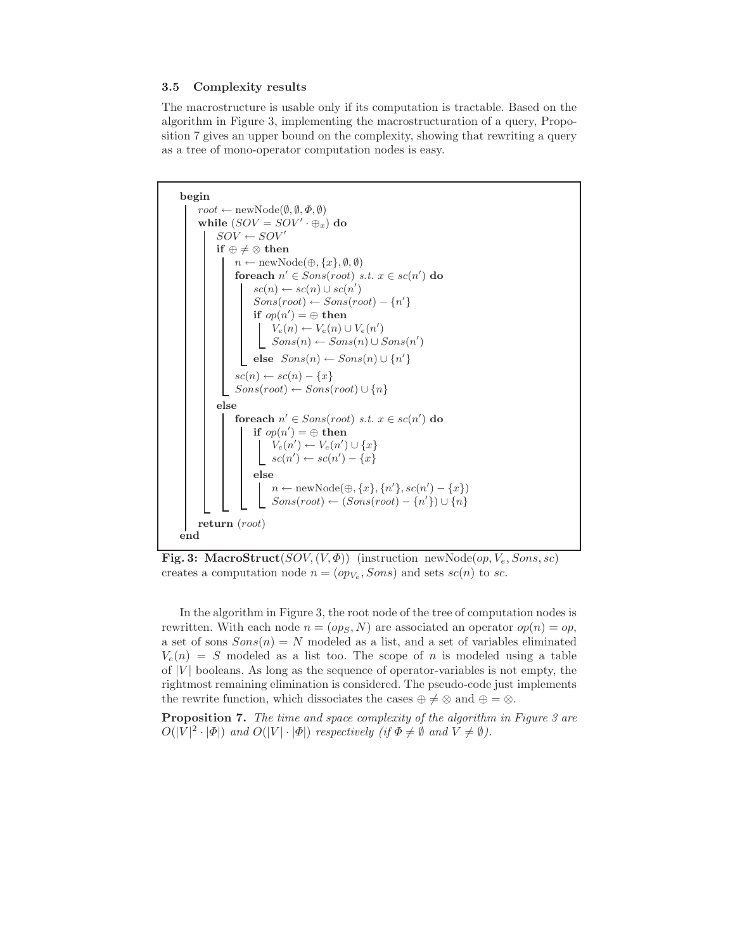#### 3.5 Complexity results

The macrostructure is usable only if its computation is tractable. Based on the algorithm in Figure 3, implementing the macrostructuration of a query, Proposition 7 gives an upper bound on the complexity, showing that rewriting a query as a tree of mono-operator computation nodes is easy.



Fig. 3: MacroStruct( $SOV, (V, \Phi)$ ) (instruction newNode(op,  $V_e$ , Sons, sc) creates a computation node  $n = (op<sub>V<sub>e</sub></sub>, Sons)$  and sets  $sc(n)$  to sc.

In the algorithm in Figure 3, the root node of the tree of computation nodes is rewritten. With each node  $n = (op_S, N)$  are associated an operator  $op(n) = op$ , a set of sons  $Sons(n) = N$  modeled as a list, and a set of variables eliminated  $V_e(n) = S$  modeled as a list too. The scope of n is modeled using a table of  $|V|$  booleans. As long as the sequence of operator-variables is not empty, the rightmost remaining elimination is considered. The pseudo-code just implements the rewrite function, which dissociates the cases  $\oplus \neq \otimes$  and  $\oplus = \otimes$ .

**Proposition 7.** The time and space complexity of the algorithm in Figure 3 are  $O(|V|^2 \cdot |\Phi|)$  and  $O(|V| \cdot |\Phi|)$  respectively (if  $\Phi \neq \emptyset$  and  $V \neq \emptyset$ ).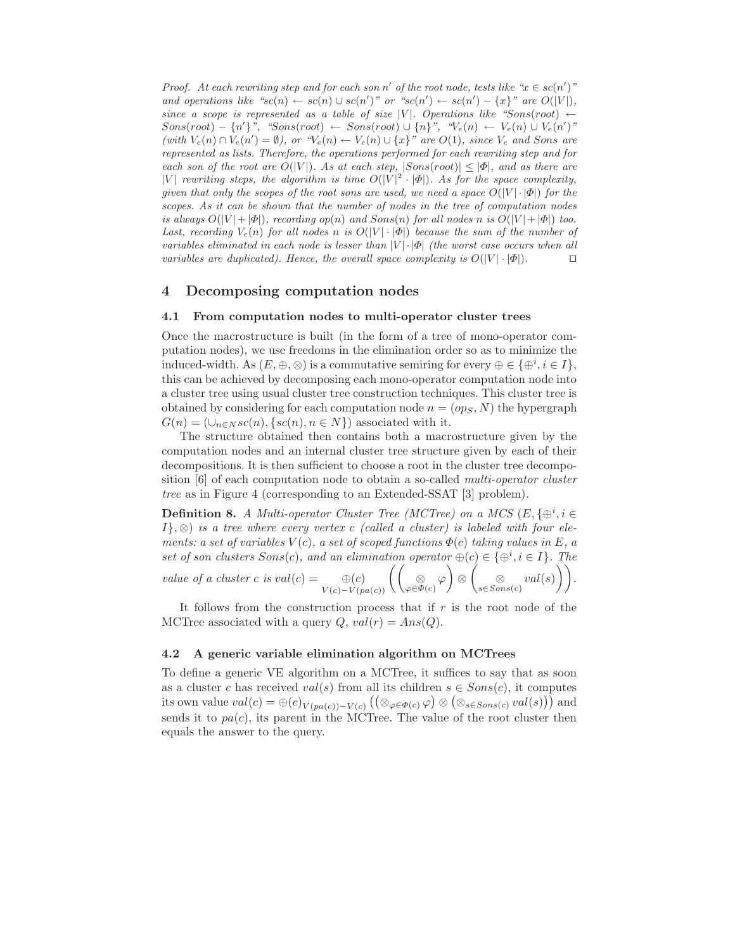Proof. At each rewriting step and for each son n' of the root node, tests like " $x \in sc(n')$ " and operations like " $sc(n) \leftarrow sc(n) \cup sc(n')$ " or " $sc(n') \leftarrow sc(n') - \{x\}$ " are  $O(|V|)$ , since a scope is represented as a table of size |V|. Operations like "Sons(root)  $\leftarrow$  $Sons(root) - \{n'\}$ ", " $Sons(root) \leftarrow Sons(root) \cup \{n\}$ ", " $V_e(n) \leftarrow V_e(n) \cup V_e(n')$ " (with  $V_e(n) \cap V_e(n') = \emptyset$ ), or " $V_e(n) \leftarrow V_e(n) \cup \{x\}$ " are  $O(1)$ , since  $V_e$  and Sons are represented as lists. Therefore, the operations performed for each rewriting step and for each son of the root are  $O(|V|)$ . As at each step,  $|Sons(root)| \leq |\Phi|$ , and as there are |V| rewriting steps, the algorithm is time  $O(|V|^2 \cdot |\Phi|)$ . As for the space complexity, given that only the scopes of the root sons are used, we need a space  $O(|V| \cdot |\Phi|)$  for the scopes. As it can be shown that the number of nodes in the tree of computation nodes is always  $O(|V|+|\Phi|)$ , recording  $op(n)$  and  $Sons(n)$  for all nodes n is  $O(|V|+|\Phi|)$  too. Last, recording  $V_e(n)$  for all nodes n is  $O(|V| \cdot |\Phi|)$  because the sum of the number of variables eliminated in each node is lesser than  $|V| \cdot |\Phi|$  (the worst case occurs when all variables are duplicated). Hence, the overall space complexity is  $O(|V| \cdot |\Phi|)$ . □

## 4 Decomposing computation nodes

#### 4.1 From computation nodes to multi-operator cluster trees

Once the macrostructure is built (in the form of a tree of mono-operator computation nodes), we use freedoms in the elimination order so as to minimize the induced-width. As  $(E, \oplus, \otimes)$  is a commutative semiring for every  $\oplus \in {\{\oplus^i, i \in I\}}$ , this can be achieved by decomposing each mono-operator computation node into a cluster tree using usual cluster tree construction techniques. This cluster tree is obtained by considering for each computation node  $n = (op_S, N)$  the hypergraph  $G(n) = (\cup_{n \in N} sc(n), \{sc(n), n \in N\})$  associated with it.

The structure obtained then contains both a macrostructure given by the computation nodes and an internal cluster tree structure given by each of their decompositions. It is then sufficient to choose a root in the cluster tree decomposition [6] of each computation node to obtain a so-called multi-operator cluster tree as in Figure 4 (corresponding to an Extended-SSAT [3] problem).

**Definition 8.** A Multi-operator Cluster Tree (MCTree) on a MCS  $(E, \{ \oplus^i, i \in$  $I\}, \otimes$ ) is a tree where every vertex c (called a cluster) is labeled with four elements: a set of variables  $V(c)$ , a set of scoped functions  $\Phi(c)$  taking values in E, a set of son clusters  $Sons(c)$ , and an elimination operator  $\oplus(c) \in {\{\oplus^i, i \in I\}}$ . The value of a cluster c is  $val(c) = \bigoplus_{V(c)-V(pa(c))} \left( \left( \bigotimes_{\varphi \in \Phi(c)} \varphi \right) \otimes \left( \bigotimes_{s \in Sons(c)} val(s) \right) \right).$ 

It follows from the construction process that if  $r$  is the root node of the MCTree associated with a query  $Q$ ,  $val(r) = Ans(Q)$ .

#### 4.2 A generic variable elimination algorithm on MCTrees

To define a generic VE algorithm on a MCTree, it suffices to say that as soon as a cluster c has received  $val(s)$  from all its children  $s \in Sons(c)$ , it computes its own value  $val(c) = \oplus (c)_{V(pa(c)) - V(c)} ((\otimes_{\varphi \in \Phi(c)} \varphi) \otimes (\otimes_{s \in Sons(c)} val(s)))$  and sends it to  $pa(c)$ , its parent in the MCTree. The value of the root cluster then equals the answer to the query.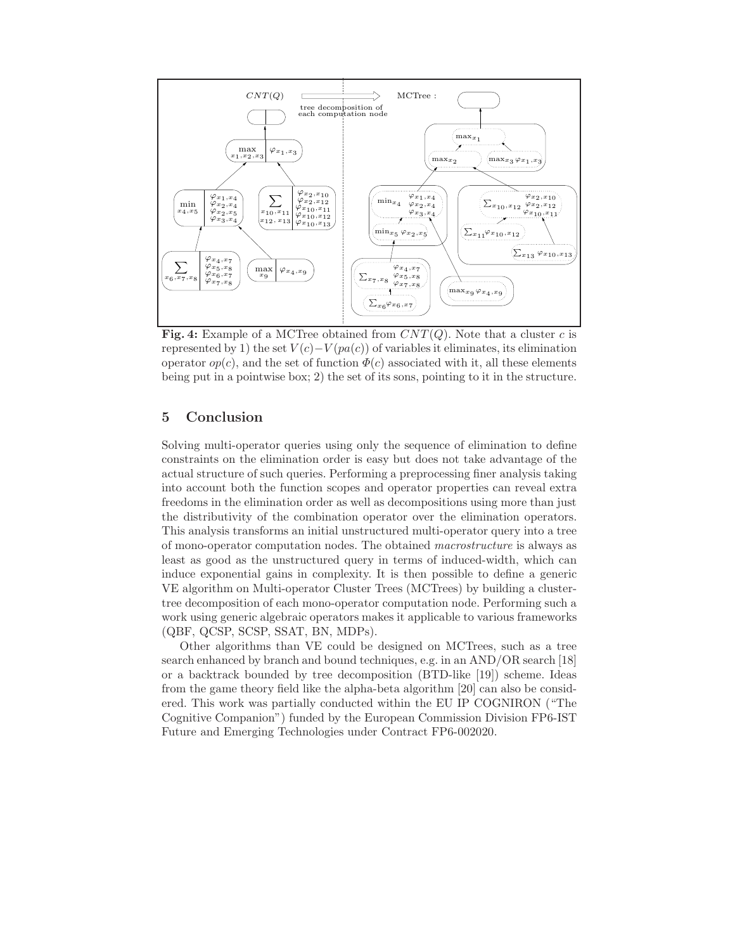

Fig. 4: Example of a MCTree obtained from  $CNT(Q)$ . Note that a cluster c is represented by 1) the set  $V(c)-V(pa(c))$  of variables it eliminates, its elimination operator  $op(c)$ , and the set of function  $\Phi(c)$  associated with it, all these elements being put in a pointwise box; 2) the set of its sons, pointing to it in the structure.

# 5 Conclusion

Solving multi-operator queries using only the sequence of elimination to define constraints on the elimination order is easy but does not take advantage of the actual structure of such queries. Performing a preprocessing finer analysis taking into account both the function scopes and operator properties can reveal extra freedoms in the elimination order as well as decompositions using more than just the distributivity of the combination operator over the elimination operators. This analysis transforms an initial unstructured multi-operator query into a tree of mono-operator computation nodes. The obtained macrostructure is always as least as good as the unstructured query in terms of induced-width, which can induce exponential gains in complexity. It is then possible to define a generic VE algorithm on Multi-operator Cluster Trees (MCTrees) by building a clustertree decomposition of each mono-operator computation node. Performing such a work using generic algebraic operators makes it applicable to various frameworks (QBF, QCSP, SCSP, SSAT, BN, MDPs).

Other algorithms than VE could be designed on MCTrees, such as a tree search enhanced by branch and bound techniques, e.g. in an AND/OR search [18] or a backtrack bounded by tree decomposition (BTD-like [19]) scheme. Ideas from the game theory field like the alpha-beta algorithm [20] can also be considered. This work was partially conducted within the EU IP COGNIRON ("The Cognitive Companion") funded by the European Commission Division FP6-IST Future and Emerging Technologies under Contract FP6-002020.